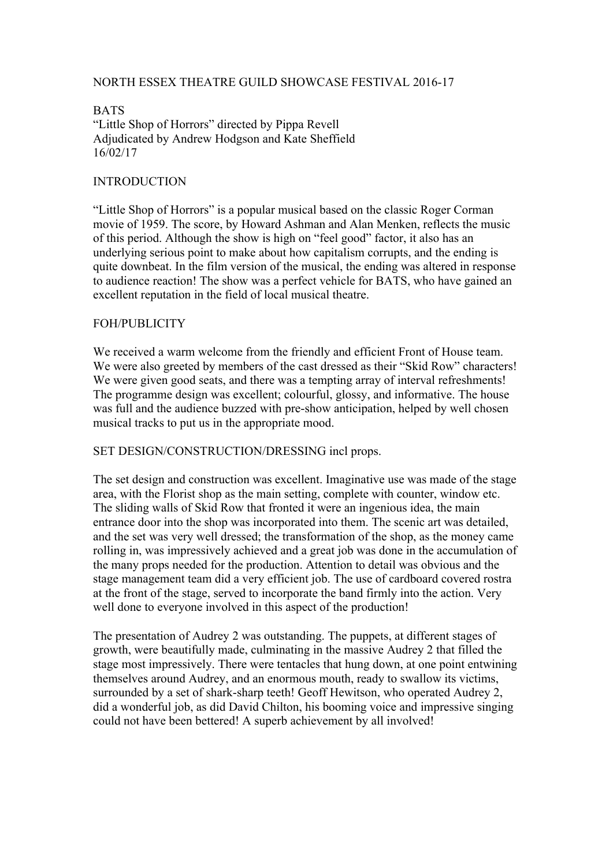# NORTH ESSEX THEATRE GUILD SHOWCASE FESTIVAL 2016-17

**BATS** "Little Shop of Horrors" directed by Pippa Revell Adjudicated by Andrew Hodgson and Kate Sheffield 16/02/17

### INTRODUCTION

"Little Shop of Horrors" is a popular musical based on the classic Roger Corman movie of 1959. The score, by Howard Ashman and Alan Menken, reflects the music of this period. Although the show is high on "feel good" factor, it also has an underlying serious point to make about how capitalism corrupts, and the ending is quite downbeat. In the film version of the musical, the ending was altered in response to audience reaction! The show was a perfect vehicle for BATS, who have gained an excellent reputation in the field of local musical theatre.

#### FOH/PUBLICITY

We received a warm welcome from the friendly and efficient Front of House team. We were also greeted by members of the cast dressed as their "Skid Row" characters! We were given good seats, and there was a tempting array of interval refreshments! The programme design was excellent; colourful, glossy, and informative. The house was full and the audience buzzed with pre-show anticipation, helped by well chosen musical tracks to put us in the appropriate mood.

#### SET DESIGN/CONSTRUCTION/DRESSING incl props.

The set design and construction was excellent. Imaginative use was made of the stage area, with the Florist shop as the main setting, complete with counter, window etc. The sliding walls of Skid Row that fronted it were an ingenious idea, the main entrance door into the shop was incorporated into them. The scenic art was detailed, and the set was very well dressed; the transformation of the shop, as the money came rolling in, was impressively achieved and a great job was done in the accumulation of the many props needed for the production. Attention to detail was obvious and the stage management team did a very efficient job. The use of cardboard covered rostra at the front of the stage, served to incorporate the band firmly into the action. Very well done to everyone involved in this aspect of the production!

The presentation of Audrey 2 was outstanding. The puppets, at different stages of growth, were beautifully made, culminating in the massive Audrey 2 that filled the stage most impressively. There were tentacles that hung down, at one point entwining themselves around Audrey, and an enormous mouth, ready to swallow its victims, surrounded by a set of shark-sharp teeth! Geoff Hewitson, who operated Audrey 2, did a wonderful job, as did David Chilton, his booming voice and impressive singing could not have been bettered! A superb achievement by all involved!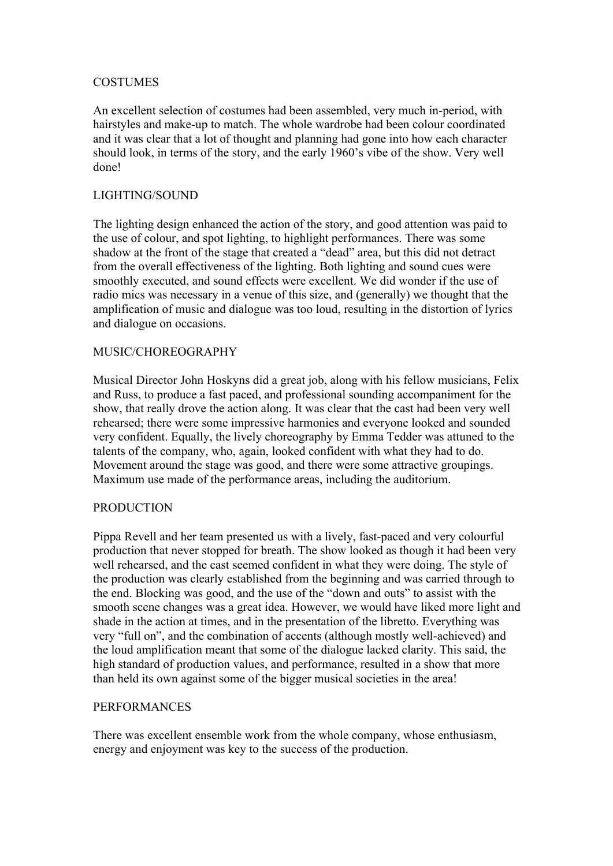# COSTUMES

An excellent selection of costumes had been assembled, very much in-period, with hairstyles and make-up to match. The whole wardrobe had been colour coordinated and it was clear that a lot of thought and planning had gone into how each character should look, in terms of the story, and the early 1960's vibe of the show. Very well done!

# LIGHTING/SOUND

The lighting design enhanced the action of the story, and good attention was paid to the use of colour, and spot lighting, to highlight performances. There was some shadow at the front of the stage that created a "dead" area, but this did not detract from the overall effectiveness of the lighting. Both lighting and sound cues were smoothly executed, and sound effects were excellent. We did wonder if the use of radio mics was necessary in a venue of this size, and (generally) we thought that the amplification of music and dialogue was too loud, resulting in the distortion of lyrics and dialogue on occasions.

## MUSIC/CHOREOGRAPHY

Musical Director John Hoskyns did a great job, along with his fellow musicians, Felix and Russ, to produce a fast paced, and professional sounding accompaniment for the show, that really drove the action along. It was clear that the cast had been very well rehearsed; there were some impressive harmonies and everyone looked and sounded very confident. Equally, the lively choreography by Emma Tedder was attuned to the talents of the company, who, again, looked confident with what they had to do. Movement around the stage was good, and there were some attractive groupings. Maximum use made of the performance areas, including the auditorium.

# PRODUCTION

Pippa Revell and her team presented us with a lively, fast-paced and very colourful production that never stopped for breath. The show looked as though it had been very well rehearsed, and the cast seemed confident in what they were doing. The style of the production was clearly established from the beginning and was carried through to the end. Blocking was good, and the use of the "down and outs" to assist with the smooth scene changes was a great idea. However, we would have liked more light and shade in the action at times, and in the presentation of the libretto. Everything was very "full on", and the combination of accents (although mostly well-achieved) and the loud amplification meant that some of the dialogue lacked clarity. This said, the high standard of production values, and performance, resulted in a show that more than held its own against some of the bigger musical societies in the area!

### PERFORMANCES

There was excellent ensemble work from the whole company, whose enthusiasm, energy and enjoyment was key to the success of the production.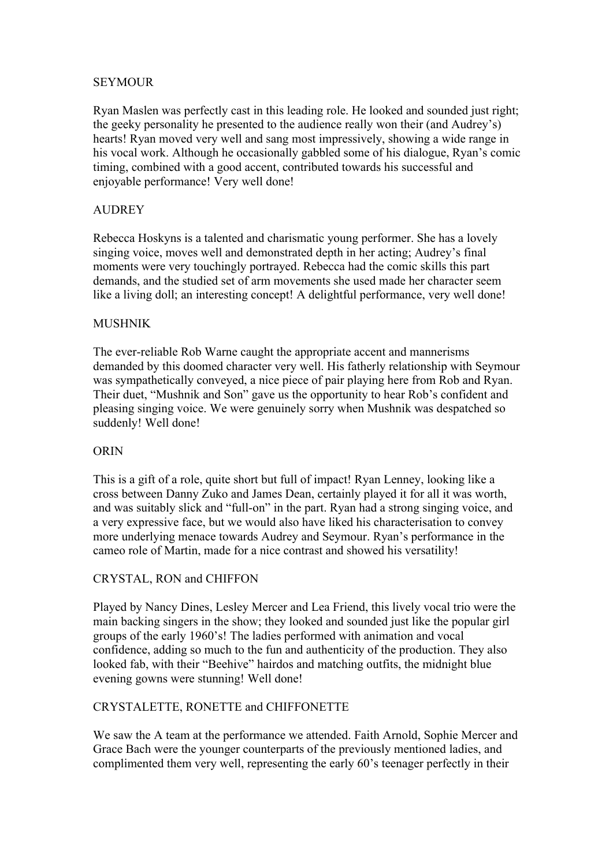## SEYMOUR

Ryan Maslen was perfectly cast in this leading role. He looked and sounded just right; the geeky personality he presented to the audience really won their (and Audrey's) hearts! Ryan moved very well and sang most impressively, showing a wide range in his vocal work. Although he occasionally gabbled some of his dialogue, Ryan's comic timing, combined with a good accent, contributed towards his successful and enjoyable performance! Very well done!

# AUDREY

Rebecca Hoskyns is a talented and charismatic young performer. She has a lovely singing voice, moves well and demonstrated depth in her acting; Audrey's final moments were very touchingly portrayed. Rebecca had the comic skills this part demands, and the studied set of arm movements she used made her character seem like a living doll; an interesting concept! A delightful performance, very well done!

## **MUSHNIK**

The ever-reliable Rob Warne caught the appropriate accent and mannerisms demanded by this doomed character very well. His fatherly relationship with Seymour was sympathetically conveyed, a nice piece of pair playing here from Rob and Ryan. Their duet, "Mushnik and Son" gave us the opportunity to hear Rob's confident and pleasing singing voice. We were genuinely sorry when Mushnik was despatched so suddenly! Well done!

### **OR<sub>IN</sub>**

This is a gift of a role, quite short but full of impact! Ryan Lenney, looking like a cross between Danny Zuko and James Dean, certainly played it for all it was worth, and was suitably slick and "full-on" in the part. Ryan had a strong singing voice, and a very expressive face, but we would also have liked his characterisation to convey more underlying menace towards Audrey and Seymour. Ryan's performance in the cameo role of Martin, made for a nice contrast and showed his versatility!

# CRYSTAL, RON and CHIFFON

Played by Nancy Dines, Lesley Mercer and Lea Friend, this lively vocal trio were the main backing singers in the show; they looked and sounded just like the popular girl groups of the early 1960's! The ladies performed with animation and vocal confidence, adding so much to the fun and authenticity of the production. They also looked fab, with their "Beehive" hairdos and matching outfits, the midnight blue evening gowns were stunning! Well done!

# CRYSTALETTE, RONETTE and CHIFFONETTE

We saw the A team at the performance we attended. Faith Arnold, Sophie Mercer and Grace Bach were the younger counterparts of the previously mentioned ladies, and complimented them very well, representing the early 60's teenager perfectly in their